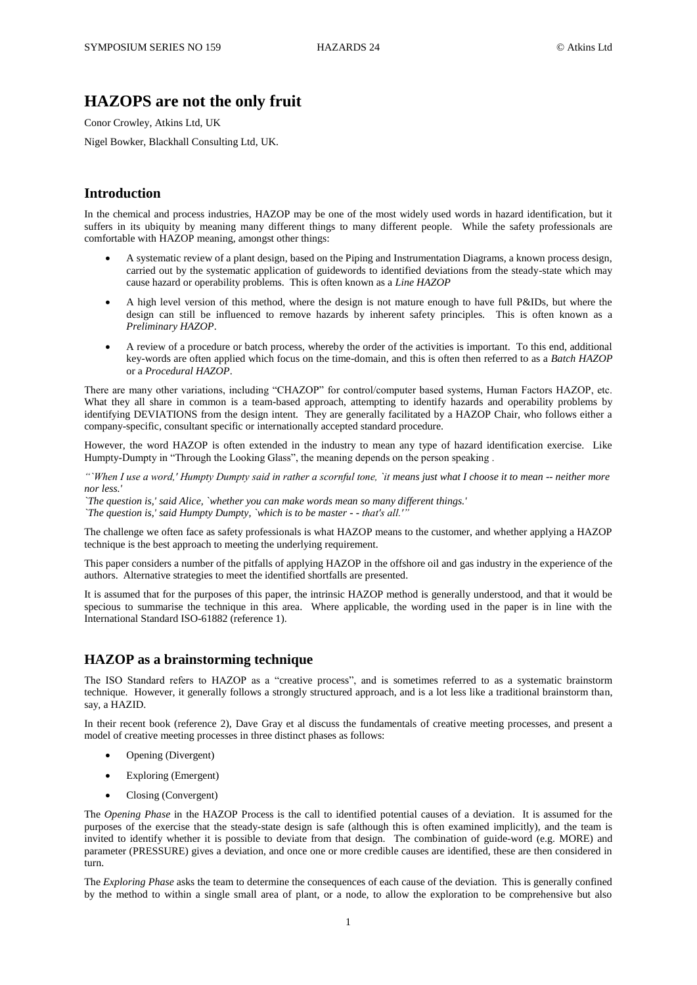# **HAZOPS are not the only fruit**

Conor Crowley, Atkins Ltd, UK

Nigel Bowker, Blackhall Consulting Ltd, UK.

#### **Introduction**

In the chemical and process industries, HAZOP may be one of the most widely used words in hazard identification, but it suffers in its ubiquity by meaning many different things to many different people. While the safety professionals are comfortable with HAZOP meaning, amongst other things:

- A systematic review of a plant design, based on the Piping and Instrumentation Diagrams, a known process design, carried out by the systematic application of guidewords to identified deviations from the steady-state which may cause hazard or operability problems. This is often known as a *Line HAZOP*
- A high level version of this method, where the design is not mature enough to have full P&IDs, but where the design can still be influenced to remove hazards by inherent safety principles. This is often known as a *Preliminary HAZOP*.
- A review of a procedure or batch process, whereby the order of the activities is important. To this end, additional key-words are often applied which focus on the time-domain, and this is often then referred to as a *Batch HAZOP* or a *Procedural HAZOP*.

There are many other variations, including "CHAZOP" for control/computer based systems, Human Factors HAZOP, etc. What they all share in common is a team-based approach, attempting to identify hazards and operability problems by identifying DEVIATIONS from the design intent. They are generally facilitated by a HAZOP Chair, who follows either a company-specific, consultant specific or internationally accepted standard procedure.

However, the word HAZOP is often extended in the industry to mean any type of hazard identification exercise. Like Humpty-Dumpty in "Through the Looking Glass", the meaning depends on the person speaking .

*"`When I use a word,' Humpty Dumpty said in rather a scornful tone, `it means just what I choose it to mean -- neither more nor less.'* 

*`The question is,' said Alice, `whether you can make words mean so many different things.'* 

*`The question is,' said Humpty Dumpty, `which is to be master - - that's all.'"*

The challenge we often face as safety professionals is what HAZOP means to the customer, and whether applying a HAZOP technique is the best approach to meeting the underlying requirement.

This paper considers a number of the pitfalls of applying HAZOP in the offshore oil and gas industry in the experience of the authors. Alternative strategies to meet the identified shortfalls are presented.

It is assumed that for the purposes of this paper, the intrinsic HAZOP method is generally understood, and that it would be specious to summarise the technique in this area. Where applicable, the wording used in the paper is in line with the International Standard ISO-61882 (reference 1).

#### **HAZOP as a brainstorming technique**

The ISO Standard refers to HAZOP as a "creative process", and is sometimes referred to as a systematic brainstorm technique. However, it generally follows a strongly structured approach, and is a lot less like a traditional brainstorm than, say, a HAZID.

In their recent book (reference 2), Dave Gray et al discuss the fundamentals of creative meeting processes, and present a model of creative meeting processes in three distinct phases as follows:

- Opening (Divergent)
- Exploring (Emergent)
- Closing (Convergent)

The *Opening Phase* in the HAZOP Process is the call to identified potential causes of a deviation. It is assumed for the purposes of the exercise that the steady-state design is safe (although this is often examined implicitly), and the team is invited to identify whether it is possible to deviate from that design. The combination of guide-word (e.g. MORE) and parameter (PRESSURE) gives a deviation, and once one or more credible causes are identified, these are then considered in turn.

The *Exploring Phase* asks the team to determine the consequences of each cause of the deviation. This is generally confined by the method to within a single small area of plant, or a node, to allow the exploration to be comprehensive but also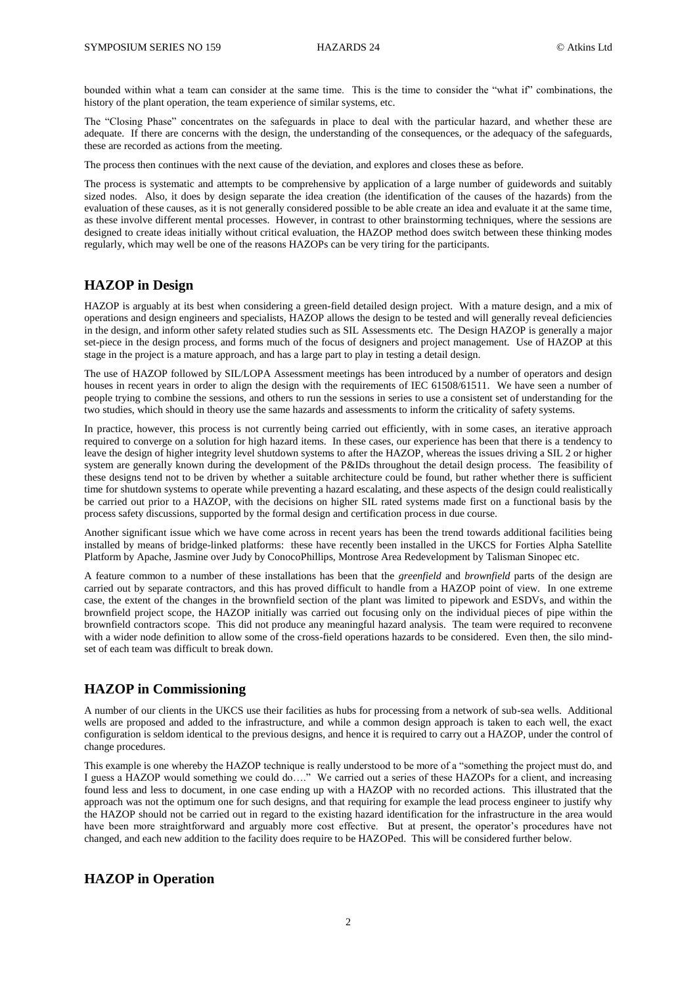bounded within what a team can consider at the same time. This is the time to consider the "what if" combinations, the history of the plant operation, the team experience of similar systems, etc.

The "Closing Phase" concentrates on the safeguards in place to deal with the particular hazard, and whether these are adequate. If there are concerns with the design, the understanding of the consequences, or the adequacy of the safeguards, these are recorded as actions from the meeting.

The process then continues with the next cause of the deviation, and explores and closes these as before.

The process is systematic and attempts to be comprehensive by application of a large number of guidewords and suitably sized nodes. Also, it does by design separate the idea creation (the identification of the causes of the hazards) from the evaluation of these causes, as it is not generally considered possible to be able create an idea and evaluate it at the same time, as these involve different mental processes. However, in contrast to other brainstorming techniques, where the sessions are designed to create ideas initially without critical evaluation, the HAZOP method does switch between these thinking modes regularly, which may well be one of the reasons HAZOPs can be very tiring for the participants.

## **HAZOP in Design**

HAZOP is arguably at its best when considering a green-field detailed design project. With a mature design, and a mix of operations and design engineers and specialists, HAZOP allows the design to be tested and will generally reveal deficiencies in the design, and inform other safety related studies such as SIL Assessments etc. The Design HAZOP is generally a major set-piece in the design process, and forms much of the focus of designers and project management. Use of HAZOP at this stage in the project is a mature approach, and has a large part to play in testing a detail design.

The use of HAZOP followed by SIL/LOPA Assessment meetings has been introduced by a number of operators and design houses in recent years in order to align the design with the requirements of IEC 61508/61511. We have seen a number of people trying to combine the sessions, and others to run the sessions in series to use a consistent set of understanding for the two studies, which should in theory use the same hazards and assessments to inform the criticality of safety systems.

In practice, however, this process is not currently being carried out efficiently, with in some cases, an iterative approach required to converge on a solution for high hazard items. In these cases, our experience has been that there is a tendency to leave the design of higher integrity level shutdown systems to after the HAZOP, whereas the issues driving a SIL 2 or higher system are generally known during the development of the P&IDs throughout the detail design process. The feasibility of these designs tend not to be driven by whether a suitable architecture could be found, but rather whether there is sufficient time for shutdown systems to operate while preventing a hazard escalating, and these aspects of the design could realistically be carried out prior to a HAZOP, with the decisions on higher SIL rated systems made first on a functional basis by the process safety discussions, supported by the formal design and certification process in due course.

Another significant issue which we have come across in recent years has been the trend towards additional facilities being installed by means of bridge-linked platforms: these have recently been installed in the UKCS for Forties Alpha Satellite Platform by Apache, Jasmine over Judy by ConocoPhillips, Montrose Area Redevelopment by Talisman Sinopec etc.

A feature common to a number of these installations has been that the *greenfield* and *brownfield* parts of the design are carried out by separate contractors, and this has proved difficult to handle from a HAZOP point of view. In one extreme case, the extent of the changes in the brownfield section of the plant was limited to pipework and ESDVs, and within the brownfield project scope, the HAZOP initially was carried out focusing only on the individual pieces of pipe within the brownfield contractors scope. This did not produce any meaningful hazard analysis. The team were required to reconvene with a wider node definition to allow some of the cross-field operations hazards to be considered. Even then, the silo mindset of each team was difficult to break down.

#### **HAZOP in Commissioning**

A number of our clients in the UKCS use their facilities as hubs for processing from a network of sub-sea wells. Additional wells are proposed and added to the infrastructure, and while a common design approach is taken to each well, the exact configuration is seldom identical to the previous designs, and hence it is required to carry out a HAZOP, under the control of change procedures.

This example is one whereby the HAZOP technique is really understood to be more of a "something the project must do, and I guess a HAZOP would something we could do…." We carried out a series of these HAZOPs for a client, and increasing found less and less to document, in one case ending up with a HAZOP with no recorded actions. This illustrated that the approach was not the optimum one for such designs, and that requiring for example the lead process engineer to justify why the HAZOP should not be carried out in regard to the existing hazard identification for the infrastructure in the area would have been more straightforward and arguably more cost effective. But at present, the operator's procedures have not changed, and each new addition to the facility does require to be HAZOPed. This will be considered further below.

#### **HAZOP in Operation**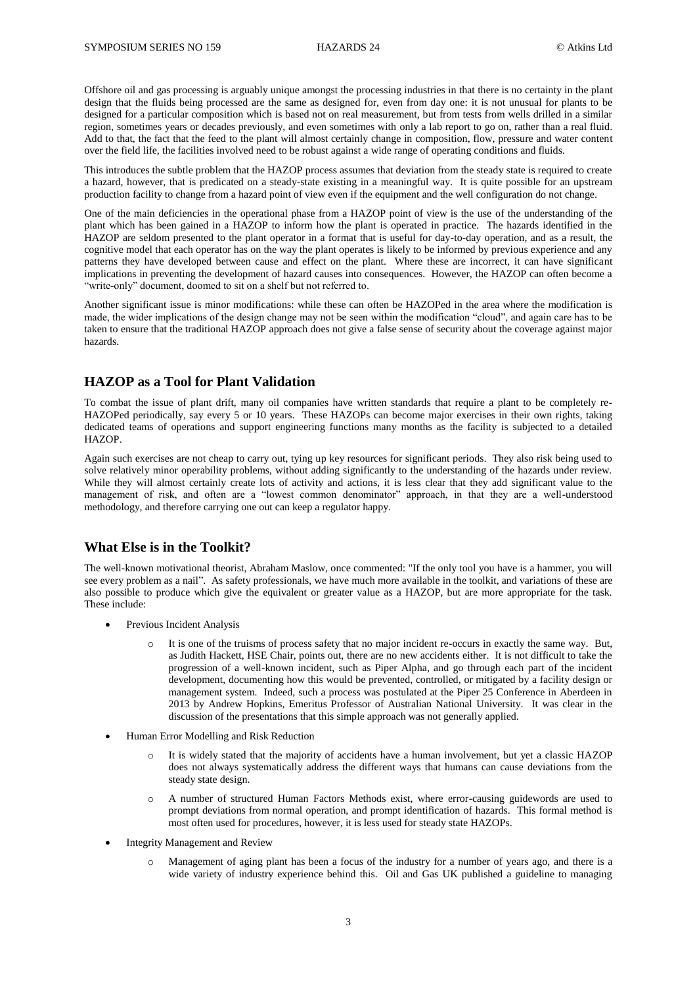Offshore oil and gas processing is arguably unique amongst the processing industries in that there is no certainty in the plant design that the fluids being processed are the same as designed for, even from day one: it is not unusual for plants to be designed for a particular composition which is based not on real measurement, but from tests from wells drilled in a similar region, sometimes years or decades previously, and even sometimes with only a lab report to go on, rather than a real fluid. Add to that, the fact that the feed to the plant will almost certainly change in composition, flow, pressure and water content over the field life, the facilities involved need to be robust against a wide range of operating conditions and fluids.

This introduces the subtle problem that the HAZOP process assumes that deviation from the steady state is required to create a hazard, however, that is predicated on a steady-state existing in a meaningful way. It is quite possible for an upstream production facility to change from a hazard point of view even if the equipment and the well configuration do not change.

One of the main deficiencies in the operational phase from a HAZOP point of view is the use of the understanding of the plant which has been gained in a HAZOP to inform how the plant is operated in practice. The hazards identified in the HAZOP are seldom presented to the plant operator in a format that is useful for day-to-day operation, and as a result, the cognitive model that each operator has on the way the plant operates is likely to be informed by previous experience and any patterns they have developed between cause and effect on the plant. Where these are incorrect, it can have significant implications in preventing the development of hazard causes into consequences. However, the HAZOP can often become a "write-only" document, doomed to sit on a shelf but not referred to.

Another significant issue is minor modifications: while these can often be HAZOPed in the area where the modification is made, the wider implications of the design change may not be seen within the modification "cloud", and again care has to be taken to ensure that the traditional HAZOP approach does not give a false sense of security about the coverage against major hazards.

### **HAZOP as a Tool for Plant Validation**

To combat the issue of plant drift, many oil companies have written standards that require a plant to be completely re-HAZOPed periodically, say every 5 or 10 years. These HAZOPs can become major exercises in their own rights, taking dedicated teams of operations and support engineering functions many months as the facility is subjected to a detailed HAZOP.

Again such exercises are not cheap to carry out, tying up key resources for significant periods. They also risk being used to solve relatively minor operability problems, without adding significantly to the understanding of the hazards under review. While they will almost certainly create lots of activity and actions, it is less clear that they add significant value to the management of risk, and often are a "lowest common denominator" approach, in that they are a well-understood methodology, and therefore carrying one out can keep a regulator happy.

#### **What Else is in the Toolkit?**

The well-known motivational theorist, Abraham Maslow, once commented: "If the only tool you have is a hammer, you will see every problem as a nail". As safety professionals, we have much more available in the toolkit, and variations of these are also possible to produce which give the equivalent or greater value as a HAZOP, but are more appropriate for the task. These include:

- Previous Incident Analysis
	- o It is one of the truisms of process safety that no major incident re-occurs in exactly the same way. But, as Judith Hackett, HSE Chair, points out, there are no new accidents either. It is not difficult to take the progression of a well-known incident, such as Piper Alpha, and go through each part of the incident development, documenting how this would be prevented, controlled, or mitigated by a facility design or management system. Indeed, such a process was postulated at the Piper 25 Conference in Aberdeen in 2013 by Andrew Hopkins, Emeritus Professor of Australian National University. It was clear in the discussion of the presentations that this simple approach was not generally applied.
- Human Error Modelling and Risk Reduction
	- o It is widely stated that the majority of accidents have a human involvement, but yet a classic HAZOP does not always systematically address the different ways that humans can cause deviations from the steady state design.
	- o A number of structured Human Factors Methods exist, where error-causing guidewords are used to prompt deviations from normal operation, and prompt identification of hazards. This formal method is most often used for procedures, however, it is less used for steady state HAZOPs.
- Integrity Management and Review
	- Management of aging plant has been a focus of the industry for a number of years ago, and there is a wide variety of industry experience behind this. Oil and Gas UK published a guideline to managing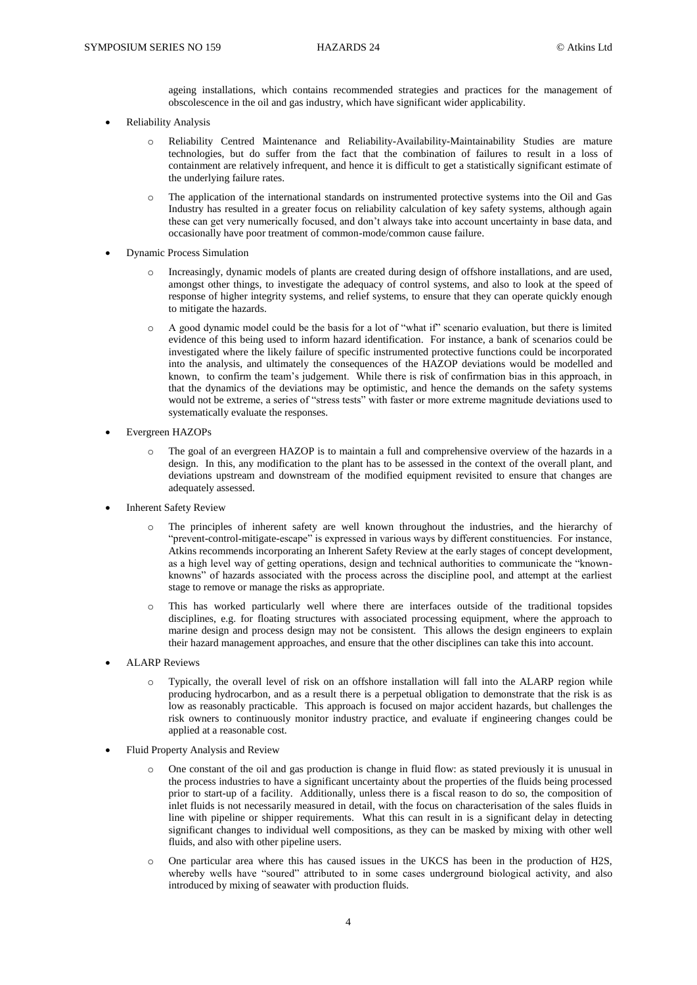ageing installations, which contains recommended strategies and practices for the management of obscolescence in the oil and gas industry, which have significant wider applicability.

- Reliability Analysis
	- o Reliability Centred Maintenance and Reliability-Availability-Maintainability Studies are mature technologies, but do suffer from the fact that the combination of failures to result in a loss of containment are relatively infrequent, and hence it is difficult to get a statistically significant estimate of the underlying failure rates.
	- o The application of the international standards on instrumented protective systems into the Oil and Gas Industry has resulted in a greater focus on reliability calculation of key safety systems, although again these can get very numerically focused, and don't always take into account uncertainty in base data, and occasionally have poor treatment of common-mode/common cause failure.
- Dynamic Process Simulation
	- Increasingly, dynamic models of plants are created during design of offshore installations, and are used, amongst other things, to investigate the adequacy of control systems, and also to look at the speed of response of higher integrity systems, and relief systems, to ensure that they can operate quickly enough to mitigate the hazards.
	- o A good dynamic model could be the basis for a lot of "what if" scenario evaluation, but there is limited evidence of this being used to inform hazard identification. For instance, a bank of scenarios could be investigated where the likely failure of specific instrumented protective functions could be incorporated into the analysis, and ultimately the consequences of the HAZOP deviations would be modelled and known, to confirm the team's judgement. While there is risk of confirmation bias in this approach, in that the dynamics of the deviations may be optimistic, and hence the demands on the safety systems would not be extreme, a series of "stress tests" with faster or more extreme magnitude deviations used to systematically evaluate the responses.
- Evergreen HAZOPs
	- The goal of an evergreen HAZOP is to maintain a full and comprehensive overview of the hazards in a design. In this, any modification to the plant has to be assessed in the context of the overall plant, and deviations upstream and downstream of the modified equipment revisited to ensure that changes are adequately assessed.
- Inherent Safety Review
	- The principles of inherent safety are well known throughout the industries, and the hierarchy of "prevent-control-mitigate-escape" is expressed in various ways by different constituencies. For instance, Atkins recommends incorporating an Inherent Safety Review at the early stages of concept development, as a high level way of getting operations, design and technical authorities to communicate the "knownknowns" of hazards associated with the process across the discipline pool, and attempt at the earliest stage to remove or manage the risks as appropriate.
	- o This has worked particularly well where there are interfaces outside of the traditional topsides disciplines, e.g. for floating structures with associated processing equipment, where the approach to marine design and process design may not be consistent. This allows the design engineers to explain their hazard management approaches, and ensure that the other disciplines can take this into account.
- ALARP Reviews
	- o Typically, the overall level of risk on an offshore installation will fall into the ALARP region while producing hydrocarbon, and as a result there is a perpetual obligation to demonstrate that the risk is as low as reasonably practicable. This approach is focused on major accident hazards, but challenges the risk owners to continuously monitor industry practice, and evaluate if engineering changes could be applied at a reasonable cost.
- Fluid Property Analysis and Review
	- One constant of the oil and gas production is change in fluid flow: as stated previously it is unusual in the process industries to have a significant uncertainty about the properties of the fluids being processed prior to start-up of a facility. Additionally, unless there is a fiscal reason to do so, the composition of inlet fluids is not necessarily measured in detail, with the focus on characterisation of the sales fluids in line with pipeline or shipper requirements. What this can result in is a significant delay in detecting significant changes to individual well compositions, as they can be masked by mixing with other well fluids, and also with other pipeline users.
	- o One particular area where this has caused issues in the UKCS has been in the production of H2S, whereby wells have "soured" attributed to in some cases underground biological activity, and also introduced by mixing of seawater with production fluids.